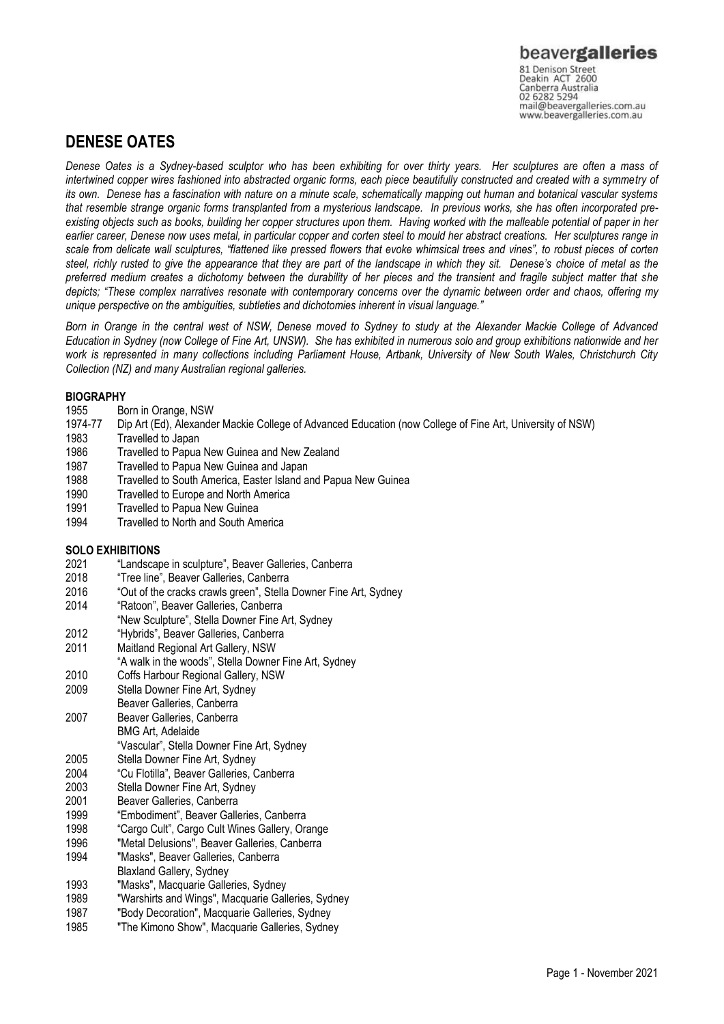## **DENESE OATES**

*Denese Oates is a Sydney-based sculptor who has been exhibiting for over thirty years. Her sculptures are often a mass of*  intertwined copper wires fashioned into abstracted organic forms, each piece beautifully constructed and created with a symmetry of *its own. Denese has a fascination with nature on a minute scale, schematically mapping out human and botanical vascular systems that resemble strange organic forms transplanted from a mysterious landscape. In previous works, she has often incorporated preexisting objects such as books, building her copper structures upon them. Having worked with the malleable potential of paper in her earlier career, Denese now uses metal, in particular copper and corten steel to mould her abstract creations. Her sculptures range in scale from delicate wall sculptures, "flattened like pressed flowers that evoke whimsical trees and vines", to robust pieces of corten steel, richly rusted to give the appearance that they are part of the landscape in which they sit. Denese's choice of metal as the preferred medium creates a dichotomy between the durability of her pieces and the transient and fragile subject matter that she depicts; "These complex narratives resonate with contemporary concerns over the dynamic between order and chaos, offering my unique perspective on the ambiguities, subtleties and dichotomies inherent in visual language."* 

*Born in Orange in the central west of NSW, Denese moved to Sydney to study at the Alexander Mackie College of Advanced Education in Sydney (now College of Fine Art, UNSW). She has exhibited in numerous solo and group exhibitions nationwide and her work is represented in many collections including Parliament House, Artbank, University of New South Wales, Christchurch City Collection (NZ) and many Australian regional galleries.* 

### **BIOGRAPHY**

- 1955 Born in Orange, NSW<br>1974-77 Din Art (Ed), Alexande
- 1974-77 Dip Art (Ed), Alexander Mackie College of Advanced Education (now College of Fine Art, University of NSW)<br>1983 Travelled to Japan
- Travelled to Japan
- 1986 Travelled to Papua New Guinea and New Zealand
- 1987 Travelled to Papua New Guinea and Japan
- 1988 Travelled to South America, Easter Island and Papua New Guinea
- 1990 Travelled to Europe and North America
- 1991 Travelled to Papua New Guinea
- 1994 Travelled to North and South America

### **SOLO EXHIBITIONS**

- 2021 "Landscape in sculpture", Beaver Galleries, Canberra
- 2018 "Tree line", Beaver Galleries, Canberra<br>2016 "Out of the cracks crawls green", Stella
- 2016 "Out of the cracks crawls green", Stella Downer Fine Art, Sydney<br>2014 "Ratoon", Beaver Galleries, Canberra
- "Ratoon", Beaver Galleries, Canberra
- "New Sculpture", Stella Downer Fine Art, Sydney
- 2012 "Hybrids", Beaver Galleries, Canberra
- 2011 Maitland Regional Art Gallery, NSW
- "A walk in the woods", Stella Downer Fine Art, Sydney
- 2010 Coffs Harbour Regional Gallery, NSW
- 2009 Stella Downer Fine Art, Sydney
- Beaver Galleries, Canberra
- 2007 Beaver Galleries, Canberra BMG Art, Adelaide
- "Vascular", Stella Downer Fine Art, Sydney
- 2005 Stella Downer Fine Art, Sydney<br>2004 "Cu Flotilla", Beaver Galleries, C
- "Cu Flotilla", Beaver Galleries, Canberra
- 2003 Stella Downer Fine Art, Sydney
- 2001 Beaver Galleries, Canberra
- 1999 "Embodiment", Beaver Galleries, Canberra
- 1998 "Cargo Cult", Cargo Cult Wines Gallery, Orange
- 1996 "Metal Delusions", Beaver Galleries, Canberra
- 1994 "Masks", Beaver Galleries, Canberra
- Blaxland Gallery, Sydney
- 1993 "Masks", Macquarie Galleries, Sydney
- 1989 "Warshirts and Wings", Macquarie Galleries, Sydney<br>1987 "Body Decoration". Macquarie Galleries. Sydney
- 1987 "Body Decoration", Macquarie Galleries, Sydney "The Kimono Show", Macquarie Galleries, Sydney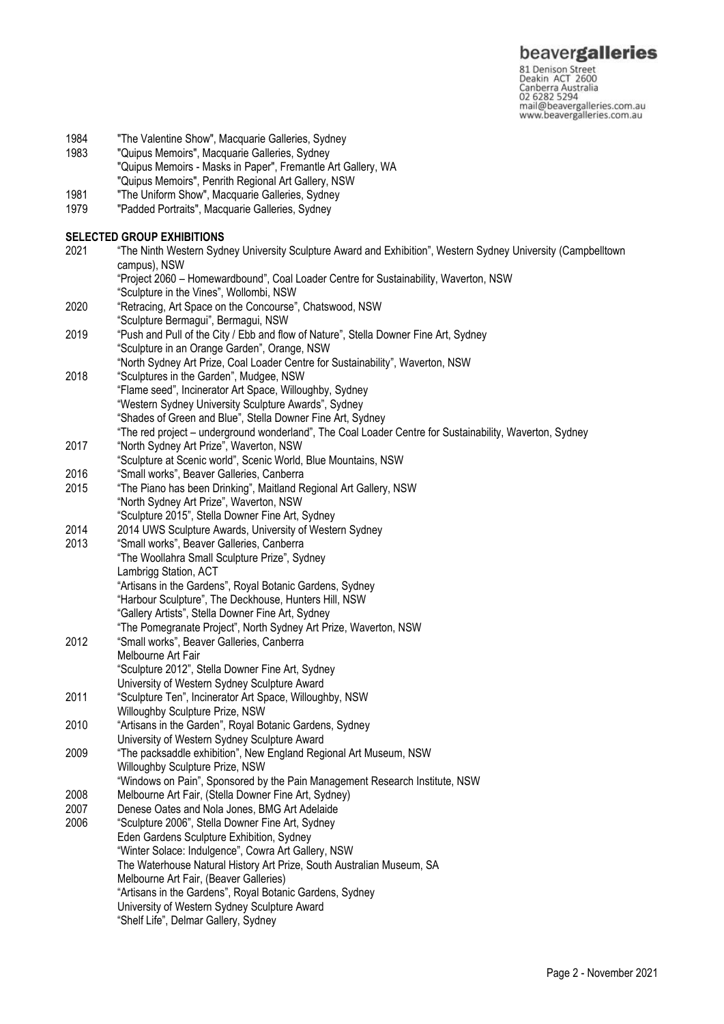81 Denison Street<br>
81 Denison Street<br>
Deakin ACT 2600<br>
Canberra Australia<br>
02 6282 5294<br>
mail@beavergalleries.com.au<br>
www.beavergalleries.com.au

- 1984 "The Valentine Show", Macquarie Galleries, Sydney<br>1983 "Quipus Memoirs", Macquarie Galleries, Sydney
- "Quipus Memoirs", Macquarie Galleries, Sydney "Quipus Memoirs - Masks in Paper", Fremantle Art Gallery, WA "Quipus Memoirs", Penrith Regional Art Gallery, NSW
- 1981 "The Uniform Show", Macquarie Galleries, Sydney<br>1979 "Padded Portraits", Macquarie Galleries, Sydney
- "Padded Portraits", Macquarie Galleries, Sydney

#### **SELECTED GROUP EXHIBITIONS**

| 2021 | "The Ninth Western Sydney University Sculpture Award and Exhibition", Western Sydney University (Campbelltown |
|------|---------------------------------------------------------------------------------------------------------------|
|      | campus), NSW                                                                                                  |
|      | "Project 2060 - Homewardbound", Coal Loader Centre for Sustainability, Waverton, NSW                          |
|      | "Sculpture in the Vines", Wollombi, NSW                                                                       |
| 2020 | "Retracing, Art Space on the Concourse", Chatswood, NSW                                                       |
|      | "Sculpture Bermagui", Bermagui, NSW                                                                           |
| 2019 | "Push and Pull of the City / Ebb and flow of Nature", Stella Downer Fine Art, Sydney                          |
|      | "Sculpture in an Orange Garden", Orange, NSW                                                                  |
|      | "North Sydney Art Prize, Coal Loader Centre for Sustainability", Waverton, NSW                                |
| 2018 | "Sculptures in the Garden", Mudgee, NSW                                                                       |
|      | "Flame seed", Incinerator Art Space, Willoughby, Sydney                                                       |
|      | "Western Sydney University Sculpture Awards", Sydney                                                          |
|      | "Shades of Green and Blue", Stella Downer Fine Art, Sydney                                                    |
|      | "The red project - underground wonderland", The Coal Loader Centre for Sustainability, Waverton, Sydney       |
| 2017 | "North Sydney Art Prize", Waverton, NSW                                                                       |
|      | "Sculpture at Scenic world", Scenic World, Blue Mountains, NSW                                                |
| 2016 | "Small works", Beaver Galleries, Canberra                                                                     |
| 2015 | "The Piano has been Drinking", Maitland Regional Art Gallery, NSW                                             |
|      | "North Sydney Art Prize", Waverton, NSW                                                                       |
|      | "Sculpture 2015", Stella Downer Fine Art, Sydney                                                              |
| 2014 | 2014 UWS Sculpture Awards, University of Western Sydney                                                       |
| 2013 | "Small works", Beaver Galleries, Canberra                                                                     |
|      | "The Woollahra Small Sculpture Prize", Sydney                                                                 |
|      | Lambrigg Station, ACT                                                                                         |
|      | "Artisans in the Gardens", Royal Botanic Gardens, Sydney                                                      |
|      | "Harbour Sculpture", The Deckhouse, Hunters Hill, NSW                                                         |
|      | "Gallery Artists", Stella Downer Fine Art, Sydney                                                             |
|      | "The Pomegranate Project", North Sydney Art Prize, Waverton, NSW                                              |
| 2012 | "Small works", Beaver Galleries, Canberra                                                                     |
|      | Melbourne Art Fair                                                                                            |
|      | "Sculpture 2012", Stella Downer Fine Art, Sydney                                                              |
|      | University of Western Sydney Sculpture Award                                                                  |
| 2011 | "Sculpture Ten", Incinerator Art Space, Willoughby, NSW                                                       |
|      | Willoughby Sculpture Prize, NSW                                                                               |
| 2010 | "Artisans in the Garden", Royal Botanic Gardens, Sydney                                                       |
|      | University of Western Sydney Sculpture Award                                                                  |
| 2009 | "The packsaddle exhibition", New England Regional Art Museum, NSW                                             |
|      | Willoughby Sculpture Prize, NSW                                                                               |
|      | "Windows on Pain", Sponsored by the Pain Management Research Institute, NSW                                   |
| 2008 | Melbourne Art Fair, (Stella Downer Fine Art, Sydney)                                                          |
| 2007 | Denese Oates and Nola Jones, BMG Art Adelaide                                                                 |
| 2006 | "Sculpture 2006", Stella Downer Fine Art, Sydney                                                              |
|      | Eden Gardens Sculpture Exhibition, Sydney                                                                     |
|      | "Winter Solace: Indulgence", Cowra Art Gallery, NSW                                                           |
|      | The Waterhouse Natural History Art Prize, South Australian Museum, SA                                         |
|      | Melbourne Art Fair, (Beaver Galleries)                                                                        |
|      | "Artisans in the Gardens", Royal Botanic Gardens, Sydney                                                      |
|      | University of Western Sydney Sculpture Award                                                                  |
|      | "Shelf Life", Delmar Gallery, Sydney                                                                          |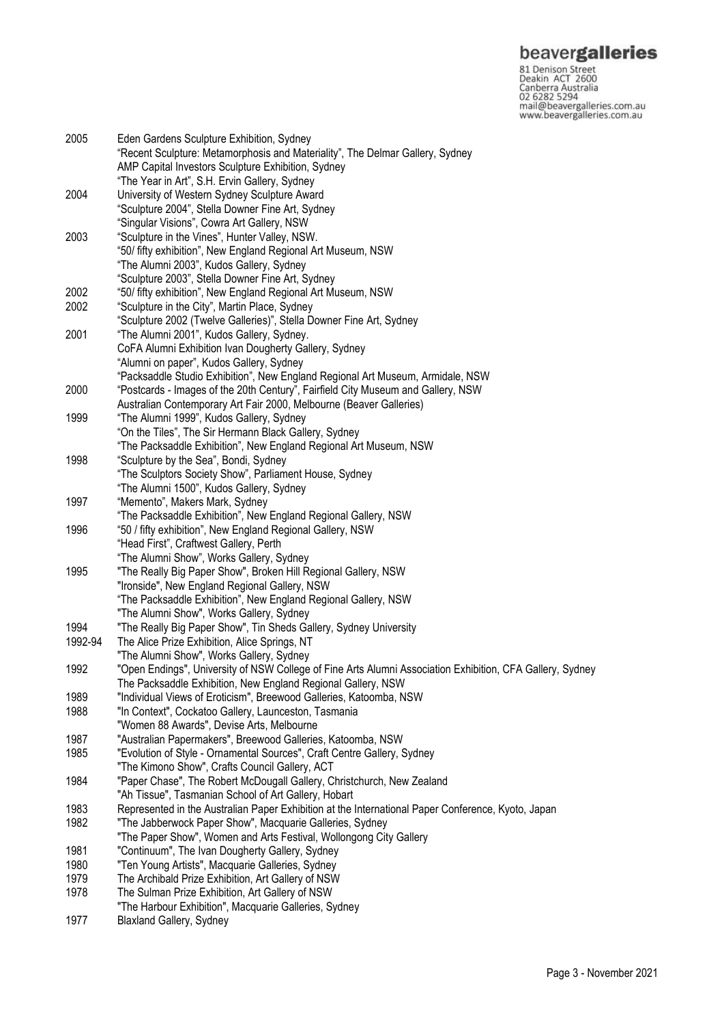**beavergalleries**<br> **81 Denison Street**<br>
Deakin ACT 2600<br>
Canberra Australia<br>
02 6282 5294<br>
mail@beavergalleries.com.au<br>
www.beavergalleries.com.au

| 2005         | Eden Gardens Sculpture Exhibition, Sydney<br>"Recent Sculpture: Metamorphosis and Materiality", The Delmar Gallery, Sydney |
|--------------|----------------------------------------------------------------------------------------------------------------------------|
|              | AMP Capital Investors Sculpture Exhibition, Sydney                                                                         |
|              | "The Year in Art", S.H. Ervin Gallery, Sydney                                                                              |
| 2004         | University of Western Sydney Sculpture Award                                                                               |
|              | "Sculpture 2004", Stella Downer Fine Art, Sydney                                                                           |
|              | "Singular Visions", Cowra Art Gallery, NSW                                                                                 |
| 2003         | "Sculpture in the Vines", Hunter Valley, NSW.                                                                              |
|              | "50/ fifty exhibition", New England Regional Art Museum, NSW                                                               |
|              | "The Alumni 2003", Kudos Gallery, Sydney                                                                                   |
|              | "Sculpture 2003", Stella Downer Fine Art, Sydney                                                                           |
| 2002         | "50/ fifty exhibition", New England Regional Art Museum, NSW                                                               |
| 2002         | "Sculpture in the City", Martin Place, Sydney                                                                              |
|              | "Sculpture 2002 (Twelve Galleries)", Stella Downer Fine Art, Sydney                                                        |
| 2001         | "The Alumni 2001", Kudos Gallery, Sydney.                                                                                  |
|              | CoFA Alumni Exhibition Ivan Dougherty Gallery, Sydney                                                                      |
|              | "Alumni on paper", Kudos Gallery, Sydney                                                                                   |
|              | "Packsaddle Studio Exhibition", New England Regional Art Museum, Armidale, NSW                                             |
| 2000         | "Postcards - Images of the 20th Century", Fairfield City Museum and Gallery, NSW                                           |
|              | Australian Contemporary Art Fair 2000, Melbourne (Beaver Galleries)                                                        |
| 1999         | "The Alumni 1999", Kudos Gallery, Sydney                                                                                   |
|              | "On the Tiles", The Sir Hermann Black Gallery, Sydney                                                                      |
|              | "The Packsaddle Exhibition", New England Regional Art Museum, NSW                                                          |
| 1998         | "Sculpture by the Sea", Bondi, Sydney                                                                                      |
|              | "The Sculptors Society Show", Parliament House, Sydney                                                                     |
|              | "The Alumni 1500", Kudos Gallery, Sydney                                                                                   |
| 1997         | "Memento", Makers Mark, Sydney                                                                                             |
|              | "The Packsaddle Exhibition", New England Regional Gallery, NSW                                                             |
| 1996         | "50 / fifty exhibition", New England Regional Gallery, NSW                                                                 |
|              | "Head First", Craftwest Gallery, Perth                                                                                     |
|              | "The Alumni Show", Works Gallery, Sydney                                                                                   |
| 1995         | "The Really Big Paper Show", Broken Hill Regional Gallery, NSW                                                             |
|              | "Ironside", New England Regional Gallery, NSW                                                                              |
|              | "The Packsaddle Exhibition", New England Regional Gallery, NSW                                                             |
|              | "The Alumni Show", Works Gallery, Sydney                                                                                   |
| 1994         | "The Really Big Paper Show", Tin Sheds Gallery, Sydney University                                                          |
| 1992-94      | The Alice Prize Exhibition, Alice Springs, NT                                                                              |
|              | "The Alumni Show", Works Gallery, Sydney                                                                                   |
| 1992         | "Open Endings", University of NSW College of Fine Arts Alumni Association Exhibition, CFA Gallery, Sydney                  |
|              | The Packsaddle Exhibition, New England Regional Gallery, NSW                                                               |
| 1989         | "Individual Views of Eroticism", Breewood Galleries, Katoomba, NSW                                                         |
| 1988         | "In Context", Cockatoo Gallery, Launceston, Tasmania                                                                       |
|              | "Women 88 Awards", Devise Arts, Melbourne                                                                                  |
| 1987         | "Australian Papermakers", Breewood Galleries, Katoomba, NSW                                                                |
| 1985         | "Evolution of Style - Ornamental Sources", Craft Centre Gallery, Sydney                                                    |
|              | "The Kimono Show", Crafts Council Gallery, ACT                                                                             |
| 1984         | "Paper Chase", The Robert McDougall Gallery, Christchurch, New Zealand                                                     |
|              | "Ah Tissue", Tasmanian School of Art Gallery, Hobart                                                                       |
| 1983         | Represented in the Australian Paper Exhibition at the International Paper Conference, Kyoto, Japan                         |
| 1982<br>1981 | "The Jabberwock Paper Show", Macquarie Galleries, Sydney                                                                   |
|              | "The Paper Show", Women and Arts Festival, Wollongong City Gallery                                                         |
|              | "Continuum", The Ivan Dougherty Gallery, Sydney                                                                            |
| 1980         | "Ten Young Artists", Macquarie Galleries, Sydney                                                                           |
| 1979         | The Archibald Prize Exhibition, Art Gallery of NSW                                                                         |
| 1978         | The Sulman Prize Exhibition, Art Gallery of NSW                                                                            |
|              | "The Harbour Exhibition", Macquarie Galleries, Sydney                                                                      |
|              |                                                                                                                            |

1977 Blaxland Gallery, Sydney